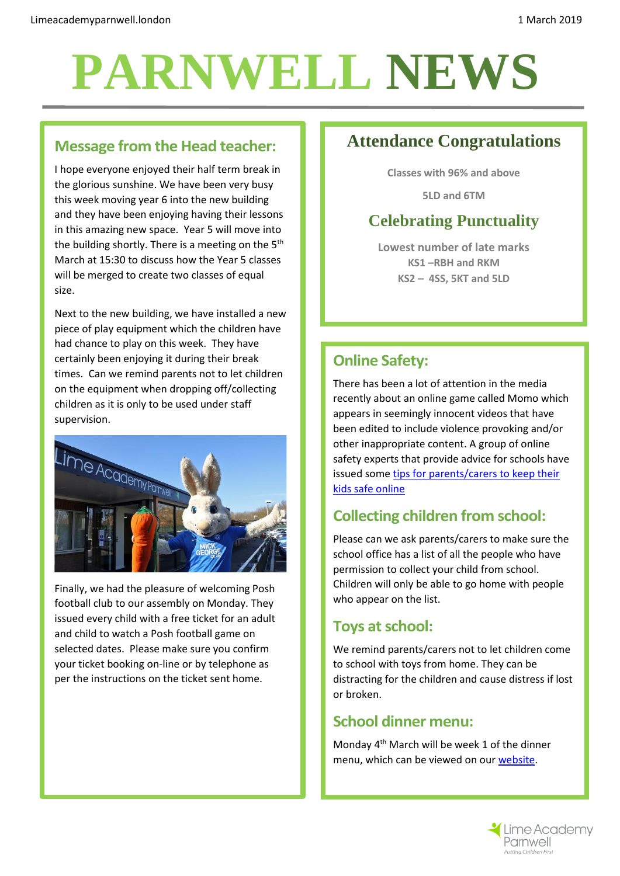# **PARNWELL NEWS**

#### **Message from the Head teacher:**

I hope everyone enjoyed their half term break in the glorious sunshine. We have been very busy this week moving year 6 into the new building and they have been enjoying having their lessons in this amazing new space. Year 5 will move into the building shortly. There is a meeting on the  $5<sup>th</sup>$ March at 15:30 to discuss how the Year 5 classes will be merged to create two classes of equal size.

Next to the new building, we have installed a new piece of play equipment which the children have had chance to play on this week. They have certainly been enjoying it during their break times. Can we remind parents not to let children on the equipment when dropping off/collecting children as it is only to be used under staff supervision.



Finally, we had the pleasure of welcoming Posh football club to our assembly on Monday. They issued every child with a free ticket for an adult and child to watch a Posh football game on selected dates. Please make sure you confirm your ticket booking on-line or by telephone as per the instructions on the ticket sent home.

## **Attendance Congratulations**

**Classes with 96% and above**

**5LD and 6TM**

## **Celebrating Punctuality**

**Lowest number of late marks KS1 –RBH and RKM KS2 – 4SS, 5KT and 5LD**

#### **Online Safety:**

There has been a lot of attention in the media recently about an online game called Momo which appears in seemingly innocent videos that have been edited to include violence provoking and/or other inappropriate content. A group of online safety experts that provide advice for schools have issued som[e tips for parents/carers to keep their](https://2j39y52a62gm1afygb3g1xbu-wpengine.netdna-ssl.com/wp-content/uploads/2019/02/MOMO-Online-Safety-Guide-for-Parents-FEB-2019.jpg)  [kids safe online](https://2j39y52a62gm1afygb3g1xbu-wpengine.netdna-ssl.com/wp-content/uploads/2019/02/MOMO-Online-Safety-Guide-for-Parents-FEB-2019.jpg)

### **Collecting children from school:**

Please can we ask parents/carers to make sure the school office has a list of all the people who have permission to collect your child from school. Children will only be able to go home with people who appear on the list.

#### **Toys at school:**

We remind parents/carers not to let children come to school with toys from home. They can be distracting for the children and cause distress if lost or broken.

#### **School dinner menu:**

Monday 4th March will be week 1 of the dinner menu, which can be viewed on ou[r website.](http://limeacademyparnwell.london/media/1997/dinner-menu-2.pdf)